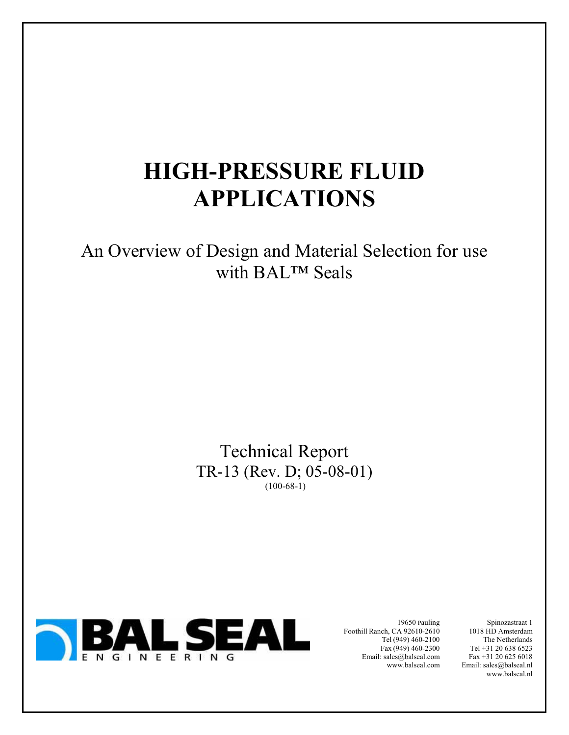# **HIGH-PRESSURE FLUID APPLICATIONS**

An Overview of Design and Material Selection for use with BAL™ Seals

> Technical Report TR-13 (Rev. D; 05-08-01)  $(100-68-1)$



19650 Pauling Foothill Ranch, CA 92610-2610 Tel (949) 460-2100 Fax (949) 460-2300 Email: sales@balseal.com www.balseal.com

Spinozastraat 1 1018 HD Amsterdam The Netherlands Tel +31 20 638 6523 Fax +31 20 625 6018 Email: sales@balseal.nl www.balseal.nl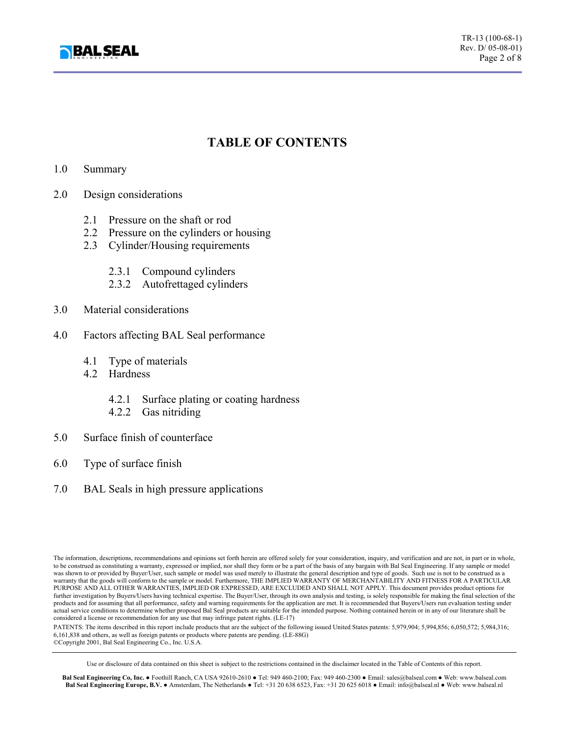

# **TABLE OF CONTENTS**

#### 1.0 Summary

- 2.0 Design considerations
	- 2.1 Pressure on the shaft or rod
	- 2.2 Pressure on the cylinders or housing
	- 2.3 Cylinder/Housing requirements
		- 2.3.1 Compound cylinders
		- 2.3.2 Autofrettaged cylinders
- 3.0 Material considerations
- 4.0 Factors affecting BAL Seal performance
	- 4.1 Type of materials
	- 4.2 Hardness
		- 4.2.1 Surface plating or coating hardness
		- 4.2.2 Gas nitriding
- 5.0 Surface finish of counterface
- 6.0 Type of surface finish
- 7.0 BAL Seals in high pressure applications

The information, descriptions, recommendations and opinions set forth herein are offered solely for your consideration, inquiry, and verification and are not, in part or in whole, to be construed as constituting a warranty, expressed or implied, nor shall they form or be a part of the basis of any bargain with Bal Seal Engineering. If any sample or model was shown to or provided by Buyer/User, such sample or model was used merely to illustrate the general description and type of goods. Such use is not to be construed as a warranty that the goods will conform to the sample or model. Furthermore, THE IMPLIED WARRANTY OF MERCHANTABILITY AND FITNESS FOR A PARTICULAR PURPOSE AND ALL OTHER WARRANTIES, IMPLIED OR EXPRESSED, ARE EXCLUDED AND SHALL NOT APPLY. This document provides product options for further investigation by Buyers/Users having technical expertise. The Buyer/User, through its own analysis and testing, is solely responsible for making the final selection of the products and for assuming that all performance, safety and warning requirements for the application are met. It is recommended that Buyers/Users run evaluation testing under actual service conditions to determine whether proposed Bal Seal products are suitable for the intended purpose. Nothing contained herein or in any of our literature shall be considered a license or recommendation for any

PATENTS: The items described in this report include products that are the subject of the following issued United States patents: 5,979,904; 5,994,856; 6,050,572; 5,984,316; 6,161,838 and others, as well as foreign patents or products where patents are pending. (LE-88G) ©Copyright 2001, Bal Seal Engineering Co., Inc. U.S.A.

Use or disclosure of data contained on this sheet is subject to the restrictions contained in the disclaimer located in the Table of Contents of this report.

**Bal Seal Engineering Co, Inc.** ● Foothill Ranch, CA USA 92610-2610 ● Tel: 949 460-2100; Fax: 949 460-2300 ● Email: sales@balseal.com ● Web: www.balseal.com **Bal Seal Engineering Europe, B.V.** ● Amsterdam, The Netherlands ● Tel: +31 20 638 6523, Fax: +31 20 625 6018 ● Email: info@balseal.nl ● Web: www.balseal.nl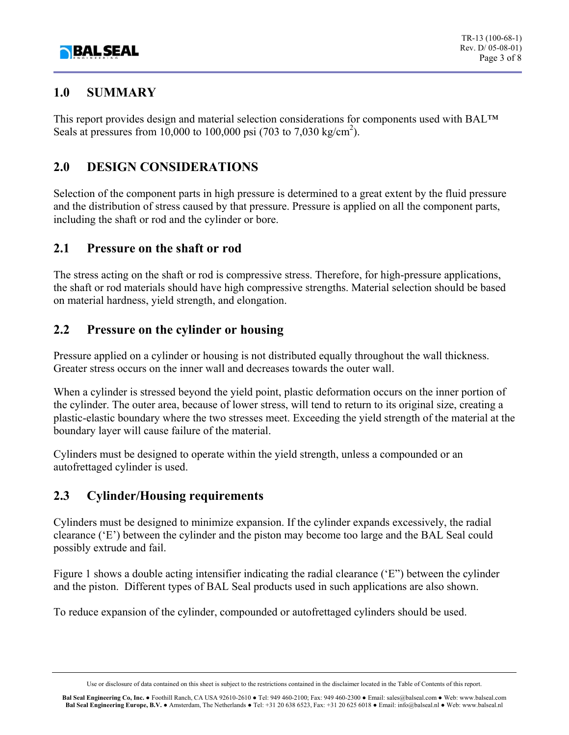

## **1.0 SUMMARY**

This report provides design and material selection considerations for components used with BAL™ Seals at pressures from 10,000 to 100,000 psi (703 to 7,030 kg/cm<sup>2</sup>).

# **2.0 DESIGN CONSIDERATIONS**

Selection of the component parts in high pressure is determined to a great extent by the fluid pressure and the distribution of stress caused by that pressure. Pressure is applied on all the component parts, including the shaft or rod and the cylinder or bore.

## **2.1 Pressure on the shaft or rod**

The stress acting on the shaft or rod is compressive stress. Therefore, for high-pressure applications, the shaft or rod materials should have high compressive strengths. Material selection should be based on material hardness, yield strength, and elongation.

## **2.2 Pressure on the cylinder or housing**

Pressure applied on a cylinder or housing is not distributed equally throughout the wall thickness. Greater stress occurs on the inner wall and decreases towards the outer wall.

When a cylinder is stressed beyond the yield point, plastic deformation occurs on the inner portion of the cylinder. The outer area, because of lower stress, will tend to return to its original size, creating a plastic-elastic boundary where the two stresses meet. Exceeding the yield strength of the material at the boundary layer will cause failure of the material.

Cylinders must be designed to operate within the yield strength, unless a compounded or an autofrettaged cylinder is used.

# **2.3 Cylinder/Housing requirements**

Cylinders must be designed to minimize expansion. If the cylinder expands excessively, the radial clearance ('E') between the cylinder and the piston may become too large and the BAL Seal could possibly extrude and fail.

Figure 1 shows a double acting intensifier indicating the radial clearance ('E") between the cylinder and the piston. Different types of BAL Seal products used in such applications are also shown.

To reduce expansion of the cylinder, compounded or autofrettaged cylinders should be used.

Use or disclosure of data contained on this sheet is subject to the restrictions contained in the disclaimer located in the Table of Contents of this report.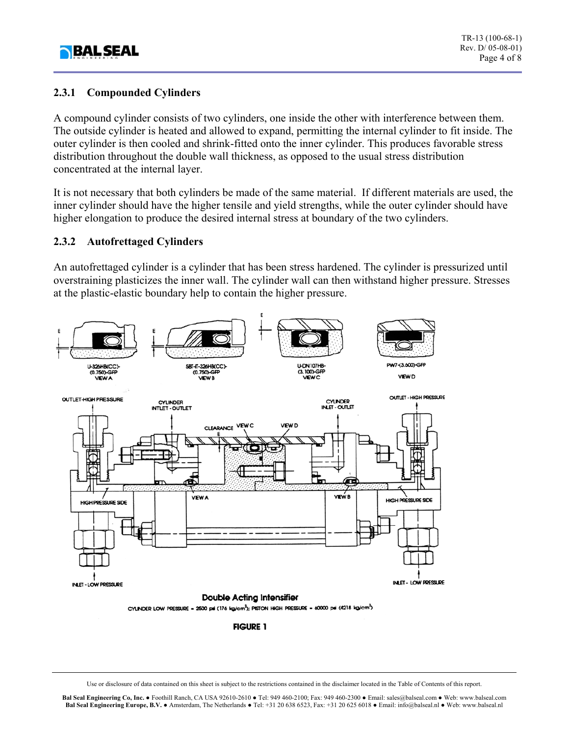

#### **2.3.1 Compounded Cylinders**

A compound cylinder consists of two cylinders, one inside the other with interference between them. The outside cylinder is heated and allowed to expand, permitting the internal cylinder to fit inside. The outer cylinder is then cooled and shrink-fitted onto the inner cylinder. This produces favorable stress distribution throughout the double wall thickness, as opposed to the usual stress distribution concentrated at the internal layer.

It is not necessary that both cylinders be made of the same material. If different materials are used, the inner cylinder should have the higher tensile and yield strengths, while the outer cylinder should have higher elongation to produce the desired internal stress at boundary of the two cylinders.

#### **2.3.2 Autofrettaged Cylinders**

An autofrettaged cylinder is a cylinder that has been stress hardened. The cylinder is pressurized until overstraining plasticizes the inner wall. The cylinder wall can then withstand higher pressure. Stresses at the plastic-elastic boundary help to contain the higher pressure.



**FIGURE 1** 

Use or disclosure of data contained on this sheet is subject to the restrictions contained in the disclaimer located in the Table of Contents of this report.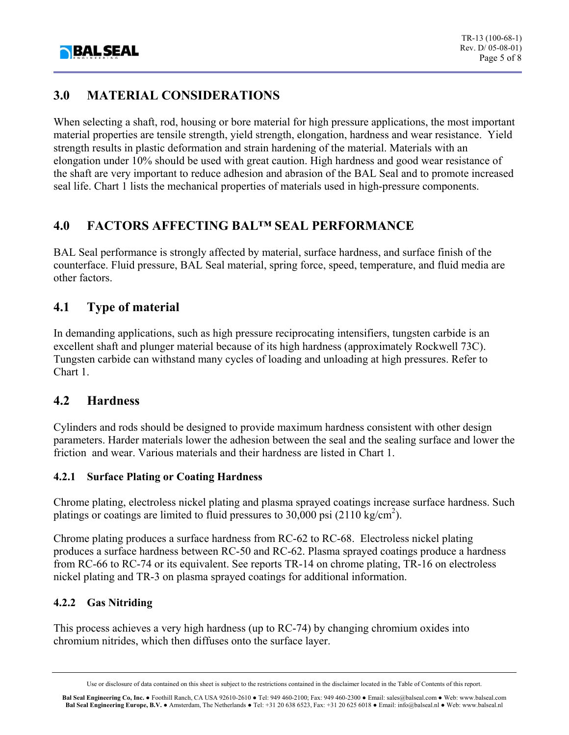

# **3.0 MATERIAL CONSIDERATIONS**

When selecting a shaft, rod, housing or bore material for high pressure applications, the most important material properties are tensile strength, yield strength, elongation, hardness and wear resistance. Yield strength results in plastic deformation and strain hardening of the material. Materials with an elongation under 10% should be used with great caution. High hardness and good wear resistance of the shaft are very important to reduce adhesion and abrasion of the BAL Seal and to promote increased seal life. Chart 1 lists the mechanical properties of materials used in high-pressure components.

## **4.0 FACTORS AFFECTING BAL™ SEAL PERFORMANCE**

BAL Seal performance is strongly affected by material, surface hardness, and surface finish of the counterface. Fluid pressure, BAL Seal material, spring force, speed, temperature, and fluid media are other factors.

## **4.1 Type of material**

In demanding applications, such as high pressure reciprocating intensifiers, tungsten carbide is an excellent shaft and plunger material because of its high hardness (approximately Rockwell 73C). Tungsten carbide can withstand many cycles of loading and unloading at high pressures. Refer to Chart 1.

#### **4.2 Hardness**

Cylinders and rods should be designed to provide maximum hardness consistent with other design parameters. Harder materials lower the adhesion between the seal and the sealing surface and lower the friction and wear. Various materials and their hardness are listed in Chart 1.

#### **4.2.1 Surface Plating or Coating Hardness**

Chrome plating, electroless nickel plating and plasma sprayed coatings increase surface hardness. Such platings or coatings are limited to fluid pressures to  $30,000$  psi (2110 kg/cm<sup>2</sup>).

Chrome plating produces a surface hardness from RC-62 to RC-68. Electroless nickel plating produces a surface hardness between RC-50 and RC-62. Plasma sprayed coatings produce a hardness from RC-66 to RC-74 or its equivalent. See reports TR-14 on chrome plating, TR-16 on electroless nickel plating and TR-3 on plasma sprayed coatings for additional information.

#### **4.2.2 Gas Nitriding**

This process achieves a very high hardness (up to RC-74) by changing chromium oxides into chromium nitrides, which then diffuses onto the surface layer.

**Bal Seal Engineering Co, Inc.** ● Foothill Ranch, CA USA 92610-2610 ● Tel: 949 460-2100; Fax: 949 460-2300 ● Email: sales@balseal.com ● Web: www.balseal.com **Bal Seal Engineering Europe, B.V.** ● Amsterdam, The Netherlands ● Tel: +31 20 638 6523, Fax: +31 20 625 6018 ● Email: info@balseal.nl ● Web: www.balseal.nl

Use or disclosure of data contained on this sheet is subject to the restrictions contained in the disclaimer located in the Table of Contents of this report.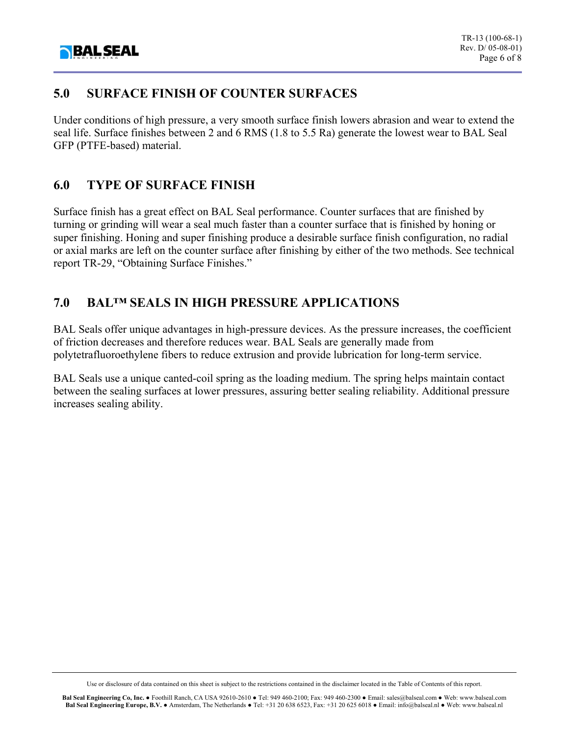

## **5.0 SURFACE FINISH OF COUNTER SURFACES**

Under conditions of high pressure, a very smooth surface finish lowers abrasion and wear to extend the seal life. Surface finishes between 2 and 6 RMS (1.8 to 5.5 Ra) generate the lowest wear to BAL Seal GFP (PTFE-based) material.

## **6.0 TYPE OF SURFACE FINISH**

Surface finish has a great effect on BAL Seal performance. Counter surfaces that are finished by turning or grinding will wear a seal much faster than a counter surface that is finished by honing or super finishing. Honing and super finishing produce a desirable surface finish configuration, no radial or axial marks are left on the counter surface after finishing by either of the two methods. See technical report TR-29, "Obtaining Surface Finishes."

# **7.0 BAL™ SEALS IN HIGH PRESSURE APPLICATIONS**

BAL Seals offer unique advantages in high-pressure devices. As the pressure increases, the coefficient of friction decreases and therefore reduces wear. BAL Seals are generally made from polytetrafluoroethylene fibers to reduce extrusion and provide lubrication for long-term service.

BAL Seals use a unique canted-coil spring as the loading medium. The spring helps maintain contact between the sealing surfaces at lower pressures, assuring better sealing reliability. Additional pressure increases sealing ability.

Use or disclosure of data contained on this sheet is subject to the restrictions contained in the disclaimer located in the Table of Contents of this report.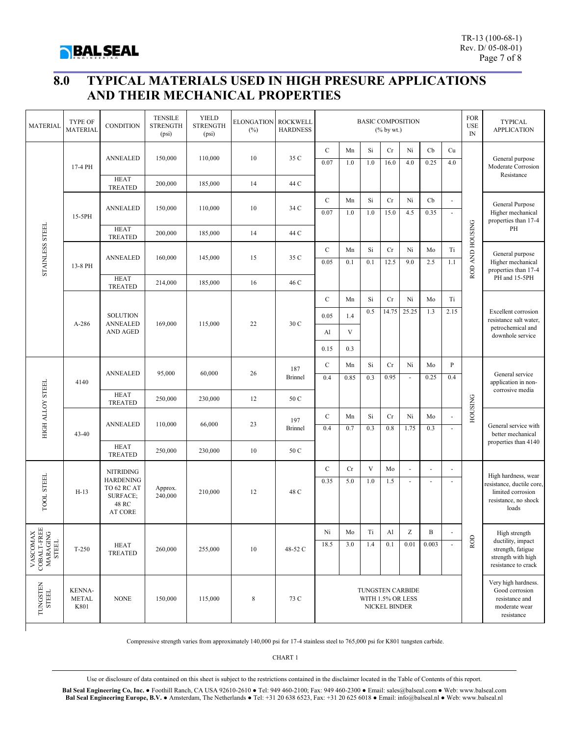

# **8.0 TYPICAL MATERIALS USED IN HIGH PRESURE APPLICATIONS AND THEIR MECHANICAL PROPERTIES**

| <b>MATERIAL</b>                                                                   | <b>TYPE OF</b><br><b>MATERIAL</b>     | <b>CONDITION</b>                                                                           | <b>TENSILE</b><br><b>STRENGTH</b><br>(psi) | <b>YIELD</b><br><b>STRENGTH</b><br>(psi) | <b>ELONGATION</b><br>(%) | <b>ROCKWELL</b><br><b>HARDNESS</b> | <b>BASIC COMPOSITION</b><br>$(\%$ by wt.)              |              |           |            |            |              |                                        | <b>FOR</b><br><b>USE</b><br>$\ensuremath{\mathop{\rm IN}\nolimits}$ | <b>TYPICAL</b><br><b>APPLICATION</b>                                                                   |
|-----------------------------------------------------------------------------------|---------------------------------------|--------------------------------------------------------------------------------------------|--------------------------------------------|------------------------------------------|--------------------------|------------------------------------|--------------------------------------------------------|--------------|-----------|------------|------------|--------------|----------------------------------------|---------------------------------------------------------------------|--------------------------------------------------------------------------------------------------------|
| <b>STAINLESS STEEL</b>                                                            | 17-4 PH                               | <b>ANNEALED</b><br><b>HEAT</b>                                                             | 150,000                                    | 110,000                                  | 10                       | 35 C                               | $\mathbf C$                                            | Mn<br>1.0    | Si        | Cr         | Ni         | Cb           | Cu                                     |                                                                     | General purpose                                                                                        |
|                                                                                   |                                       |                                                                                            |                                            |                                          |                          |                                    | 0.07                                                   |              | 1.0       | 16.0       | 4.0        | 0.25         | 4.0                                    |                                                                     | Moderate Corrosion<br>Resistance                                                                       |
|                                                                                   |                                       | <b>TREATED</b>                                                                             | 200,000                                    | 185,000                                  | 14                       | 44 C                               |                                                        |              |           |            |            |              |                                        |                                                                     |                                                                                                        |
|                                                                                   | 15-5PH                                | <b>ANNEALED</b>                                                                            | 150,000                                    | 110,000                                  | 10                       | 34 C                               | $\mathbf C$<br>0.07                                    | Mn<br>1.0    | Si<br>1.0 | Cr<br>15.0 | Ni<br>4.5  | Cb<br>0.35   | ä,<br>Ti                               | ROD AND HOUSING                                                     | General Purpose<br>Higher mechanical<br>properties than 17-4<br>PH                                     |
|                                                                                   |                                       | <b>HEAT</b><br><b>TREATED</b>                                                              | 200,000                                    | 185,000                                  | 14                       | 44 C                               |                                                        |              |           |            |            |              |                                        |                                                                     |                                                                                                        |
|                                                                                   | 13-8 PH                               | <b>ANNEALED</b>                                                                            | 160,000                                    | 145,000                                  | 15                       | 35 C                               | $\mathbf C$                                            | Mn           | Si        | Cr         | Ni         | Mo           |                                        |                                                                     | General purpose<br>Higher mechanical<br>properties than 17-4<br>PH and 15-5PH                          |
|                                                                                   |                                       |                                                                                            |                                            |                                          |                          |                                    | 0.05                                                   | 0.1          | 0.1       | 12.5       | 9.0        | 2.5          | 1.1                                    |                                                                     |                                                                                                        |
|                                                                                   |                                       | <b>HEAT</b><br><b>TREATED</b>                                                              | 214,000                                    | 185,000                                  | 16                       | 46 C                               |                                                        |              |           |            |            |              |                                        |                                                                     |                                                                                                        |
|                                                                                   | A-286                                 | <b>SOLUTION</b><br><b>ANNEALED</b><br><b>AND AGED</b>                                      | 169,000                                    | 115,000                                  | 22                       | 30 C                               | $\mathcal{C}$                                          | Mn           | Si        | Cr         | Ni         | Mo           | Ti                                     |                                                                     | <b>Excellent corrosion</b><br>resistance salt water.<br>petrochemical and<br>downhole service          |
|                                                                                   |                                       |                                                                                            |                                            |                                          |                          |                                    | 0.05                                                   | 1.4          | 0.5       | 14.75      | 25.25      | 1.3          | 2.15                                   |                                                                     |                                                                                                        |
|                                                                                   |                                       |                                                                                            |                                            |                                          |                          |                                    | Al                                                     | $\mathbf{V}$ |           |            |            |              |                                        |                                                                     |                                                                                                        |
|                                                                                   |                                       |                                                                                            |                                            |                                          |                          |                                    | 0.15                                                   | 0.3          |           |            |            |              |                                        |                                                                     |                                                                                                        |
| HIGH ALLOY STEEL                                                                  | 4140                                  | <b>ANNEALED</b><br><b>HEAT</b>                                                             | 95,000                                     | 60,000                                   | 26                       | 187<br><b>Brinnel</b>              | $\mathcal{C}$<br>0.4                                   | Mn<br>0.85   | Si<br>0.3 | Cr<br>0.95 | Ni<br>÷,   | Mo<br>0.25   | $\, {\bf p}$<br>0.4                    |                                                                     | General service                                                                                        |
|                                                                                   |                                       |                                                                                            |                                            |                                          |                          |                                    |                                                        |              |           |            |            |              | application in non-<br>corrosive media |                                                                     |                                                                                                        |
|                                                                                   |                                       | <b>TREATED</b>                                                                             | 250,000                                    | 230,000                                  | 12                       | 50 C                               |                                                        |              |           |            |            |              |                                        | <b>HOUSING</b>                                                      |                                                                                                        |
|                                                                                   | 43-40                                 | <b>ANNEALED</b>                                                                            | 110,000                                    | 66,000                                   | 23                       | 197<br><b>Brinnel</b>              | $\mathbf C$<br>0.4                                     | Mn<br>0.7    | Si<br>0.3 | Cr<br>0.8  | Ni<br>1.75 | Mo<br>0.3    |                                        |                                                                     | General service with<br>better mechanical<br>properties than 4140                                      |
|                                                                                   |                                       | <b>HEAT</b>                                                                                |                                            |                                          |                          |                                    |                                                        |              |           |            |            |              |                                        |                                                                     |                                                                                                        |
|                                                                                   |                                       | <b>TREATED</b>                                                                             | 250,000                                    | 230,000                                  | 10                       | 50 C                               |                                                        |              |           |            |            |              |                                        |                                                                     |                                                                                                        |
| TOOL STEEL                                                                        | $H-13$                                | <b>NITRIDING</b><br><b>HARDENING</b><br>TO 62 RC AT<br>SURFACE;<br>48 RC<br><b>AT CORE</b> | Approx.<br>240,000                         | 210,000                                  | 12                       | 48 C                               | $\mathcal{C}$<br>0.35                                  | Cr<br>5.0    | V<br>1.0  | Mo<br>1.5  | L,<br>÷,   | Ĭ.<br>ä,     | ÷,                                     | ROD                                                                 | High hardness, wear<br>resistance, ductile core,<br>limited corrosion<br>resistance, no shock<br>loads |
|                                                                                   |                                       |                                                                                            |                                            |                                          |                          |                                    |                                                        |              |           |            |            |              |                                        |                                                                     |                                                                                                        |
| $\begin{tabular}{c} VASCONAX \\ COBALT-FREE \\ MARAGING \\ STEL \\ \end{tabular}$ | $T-250$                               | <b>HEAT</b><br><b>TREATED</b>                                                              | 260,000                                    | 255,000                                  | 10                       | 48-52 C                            | Ni                                                     | Mo           | Ti        | Al         | Ζ          | $\, {\bf B}$ | L,                                     |                                                                     | High strength<br>ductility, impact<br>strength, fatigue<br>strength with high<br>resistance to crack   |
|                                                                                   |                                       |                                                                                            |                                            |                                          |                          |                                    | 18.5                                                   | 3.0          | 1.4       | 0.1        | 0.01       | 0.003        | L.                                     |                                                                     |                                                                                                        |
| TUNGSTEN<br>STEEL                                                                 | <b>KENNA-</b><br><b>METAL</b><br>K801 | <b>NONE</b>                                                                                | 150,000                                    | 115,000                                  | $\,$ 8 $\,$              | 73 C                               | TUNGSTEN CARBIDE<br>WITH 1.5% OR LESS<br>NICKEL BINDER |              |           |            |            |              |                                        |                                                                     | Very high hardness.<br>Good corrosion<br>resistance and<br>moderate wear<br>resistance                 |

Compressive strength varies from approximately 140,000 psi for 17-4 stainless steel to 765,000 psi for K801 tungsten carbide.

CHART 1

Use or disclosure of data contained on this sheet is subject to the restrictions contained in the disclaimer located in the Table of Contents of this report.

**Bal Seal Engineering Co, Inc.** ● Foothill Ranch, CA USA 92610-2610 ● Tel: 949 460-2100; Fax: 949 460-2300 ● Email: sales@balseal.com ● Web: www.balseal.com **Bal Seal Engineering Europe, B.V.** ● Amsterdam, The Netherlands ● Tel: +31 20 638 6523, Fax: +31 20 625 6018 ● Email: info@balseal.nl ● Web: www.balseal.nl